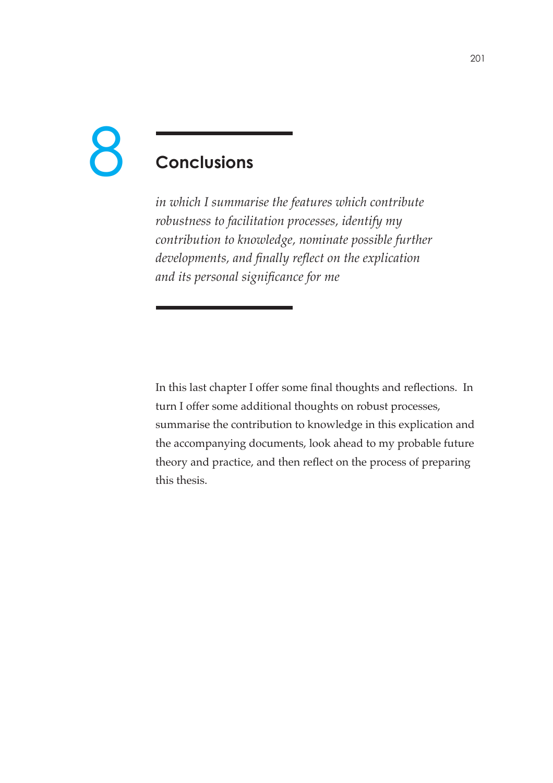# 8

# **Conclusions**

*in which I summarise the features which contribute robustness to facilitation processes, identify my contribution to knowledge, nominate possible further developments, and finally reflect on the explication and its personal signicance for me*

In this last chapter I offer some final thoughts and reflections. In turn I offer some additional thoughts on robust processes, summarise the contribution to knowledge in this explication and the accompanying documents, look ahead to my probable future theory and practice, and then reflect on the process of preparing this thesis.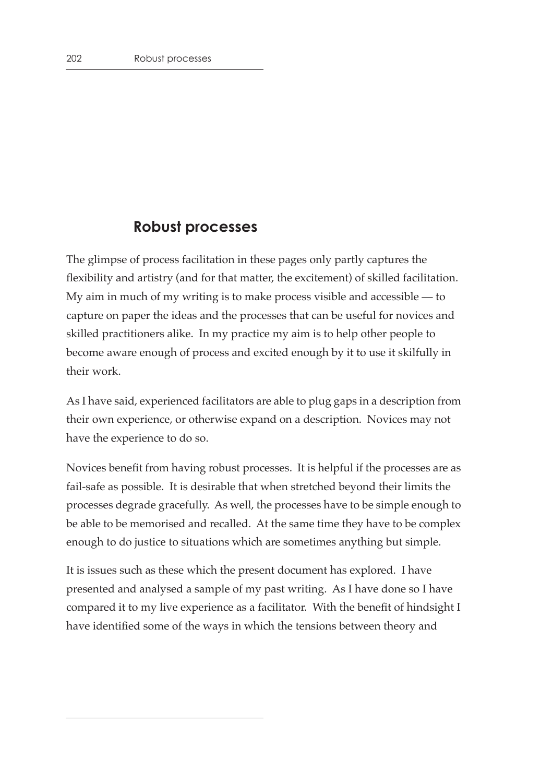### **Robust processes**

The glimpse of process facilitation in these pages only partly captures the flexibility and artistry (and for that matter, the excitement) of skilled facilitation. My aim in much of my writing is to make process visible and accessible  $-$  to capture on paper the ideas and the processes that can be useful for novices and skilled practitioners alike. In my practice my aim is to help other people to become aware enough of process and excited enough by it to use it skilfully in their work.

As I have said, experienced facilitators are able to plug gaps in a description from their own experience, or otherwise expand on a description. Novices may not have the experience to do so.

Novices benefit from having robust processes. It is helpful if the processes are as fail-safe as possible. It is desirable that when stretched beyond their limits the processes degrade gracefully. As well, the processes have to be simple enough to be able to be memorised and recalled. At the same time they have to be complex enough to do justice to situations which are sometimes anything but simple.

It is issues such as these which the present document has explored. I have presented and analysed a sample of my past writing. As I have done so I have compared it to my live experience as a facilitator. With the benefit of hindsight I have identified some of the ways in which the tensions between theory and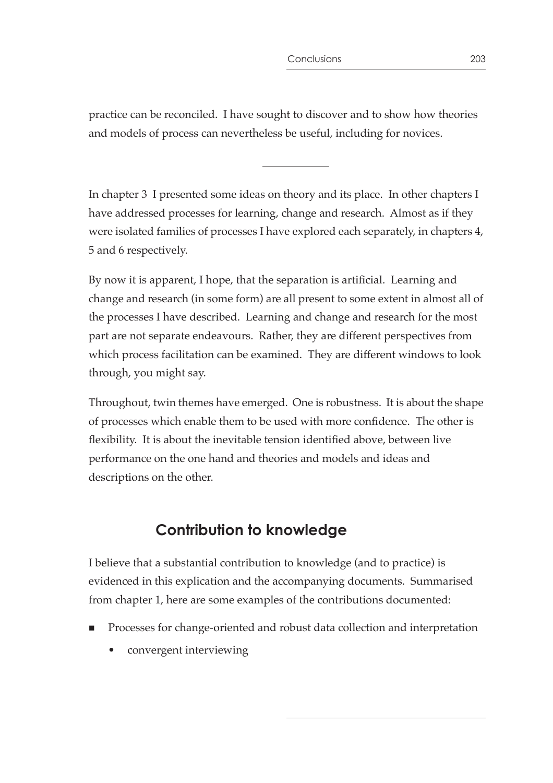practice can be reconciled. I have sought to discover and to show how theories and models of process can nevertheless be useful, including for novices.

In chapter 3 I presented some ideas on theory and its place. In other chapters I have addressed processes for learning, change and research. Almost as if they were isolated families of processes I have explored each separately, in chapters 4, 5 and 6 respectively.

By now it is apparent, I hope, that the separation is artificial. Learning and change and research (in some form) are all present to some extent in almost all of the processes I have described. Learning and change and research for the most part are not separate endeavours. Rather, they are different perspectives from which process facilitation can be examined. They are different windows to look through, you might say.

Throughout, twin themes have emerged. One is robustness. It is about the shape of processes which enable them to be used with more confidence. The other is flexibility. It is about the inevitable tension identified above, between live performance on the one hand and theories and models and ideas and descriptions on the other.

# **Contribution to knowledge**

I believe that a substantial contribution to knowledge (and to practice) is evidenced in this explication and the accompanying documents. Summarised from chapter 1, here are some examples of the contributions documented:

- Processes for change-oriented and robust data collection and interpretation
	- convergent interviewing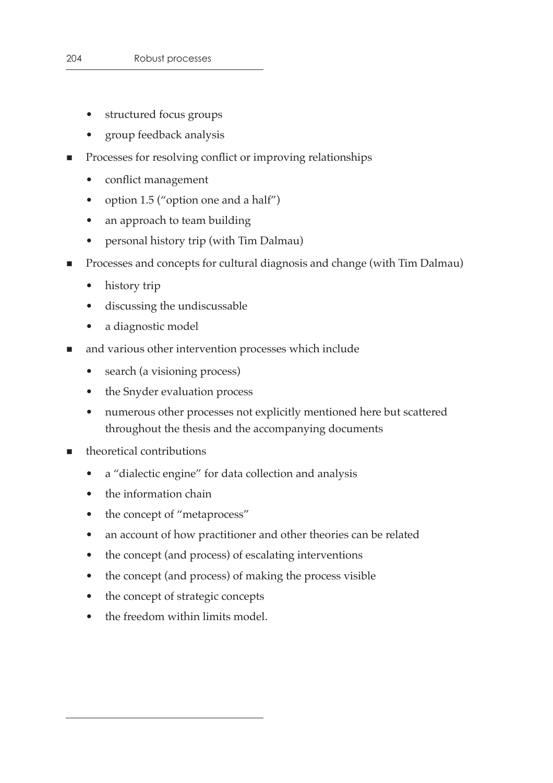- structured focus groups
- group feedback analysis
- **Processes for resolving conflict or improving relationships** 
	- conflict management
	- option 1.5 ("option one and a half")
	- an approach to team building
	- personal history trip (with Tim Dalmau)
- Processes and concepts for cultural diagnosis and change (with Tim Dalmau)
	- history trip
	- discussing the undiscussable
	- a diagnostic model
- **n** and various other intervention processes which include
	- search (a visioning process)
	- the Snyder evaluation process
	- numerous other processes not explicitly mentioned here but scattered throughout the thesis and the accompanying documents
- **n** theoretical contributions
	- a "dialectic engine" for data collection and analysis
	- the information chain
	- the concept of "metaprocess"
	- an account of how practitioner and other theories can be related
	- the concept (and process) of escalating interventions
	- the concept (and process) of making the process visible
	- the concept of strategic concepts
	- the freedom within limits model.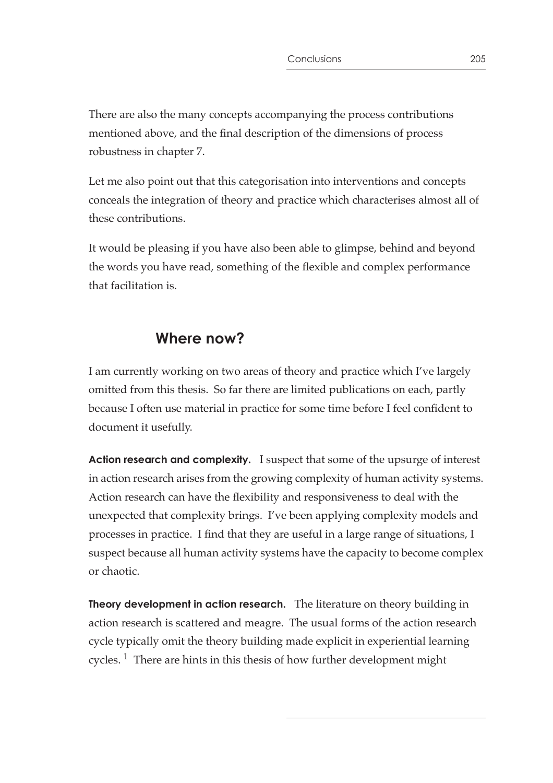There are also the many concepts accompanying the process contributions mentioned above, and the final description of the dimensions of process robustness in chapter 7.

Let me also point out that this categorisation into interventions and concepts conceals the integration of theory and practice which characterises almost all of these contributions.

It would be pleasing if you have also been able to glimpse, behind and beyond the words you have read, something of the flexible and complex performance that facilitation is.

## **Where now?**

I am currently working on two areas of theory and practice which I've largely omitted from this thesis. So far there are limited publications on each, partly because I often use material in practice for some time before I feel confident to document it usefully.

**Action research and complexity.** I suspect that some of the upsurge of interest in action research arises from the growing complexity of human activity systems. Action research can have the flexibility and responsiveness to deal with the unexpected that complexity brings. I've been applying complexity models and processes in practice. I find that they are useful in a large range of situations, I suspect because all human activity systems have the capacity to become complex or chaotic.

**Theory development in action research.** The literature on theory building in action research is scattered and meagre. The usual forms of the action research cycle typically omit the theory building made explicit in experiential learning cycles.  $\frac{1}{1}$  There are hints in this thesis of how further development might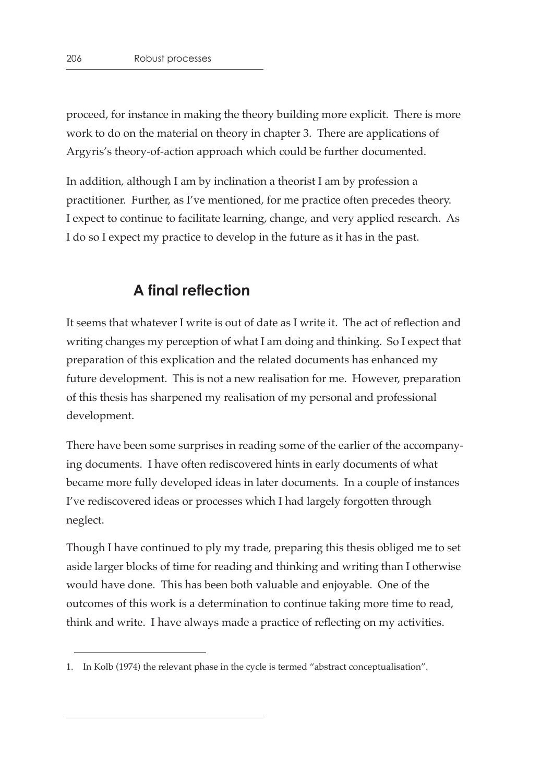proceed, for instance in making the theory building more explicit. There is more work to do on the material on theory in chapter 3. There are applications of Argyris's theory-of-action approach which could be further documented.

In addition, although I am by inclination a theorist I am by profession a practitioner. Further, as I've mentioned, for me practice often precedes theory. I expect to continue to facilitate learning, change, and very applied research. As I do so I expect my practice to develop in the future as it has in the past.

### **A final reflection**

It seems that whatever I write is out of date as I write it. The act of reflection and writing changes my perception of what I am doing and thinking. So I expect that preparation of this explication and the related documents has enhanced my future development. This is not a new realisation for me. However, preparation of this thesis has sharpened my realisation of my personal and professional development.

There have been some surprises in reading some of the earlier of the accompanying documents. I have often rediscovered hints in early documents of what became more fully developed ideas in later documents. In a couple of instances I've rediscovered ideas or processes which I had largely forgotten through neglect.

Though I have continued to ply my trade, preparing this thesis obliged me to set aside larger blocks of time for reading and thinking and writing than I otherwise would have done. This has been both valuable and enjoyable. One of the outcomes of this work is a determination to continue taking more time to read, think and write. I have always made a practice of reflecting on my activities.

<sup>1.</sup> In Kolb (1974) the relevant phase in the cycle is termed "abstract conceptualisation".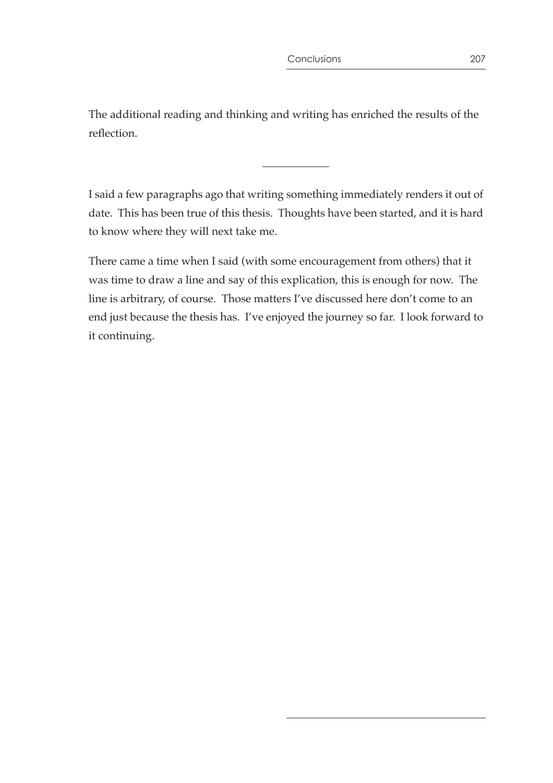The additional reading and thinking and writing has enriched the results of the reflection.

I said a few paragraphs ago that writing something immediately renders it out of date. This has been true of this thesis. Thoughts have been started, and it is hard to know where they will next take me.

There came a time when I said (with some encouragement from others) that it was time to draw a line and say of this explication, this is enough for now. The line is arbitrary, of course. Those matters I've discussed here don't come to an end just because the thesis has. I've enjoyed the journey so far. I look forward to it continuing.